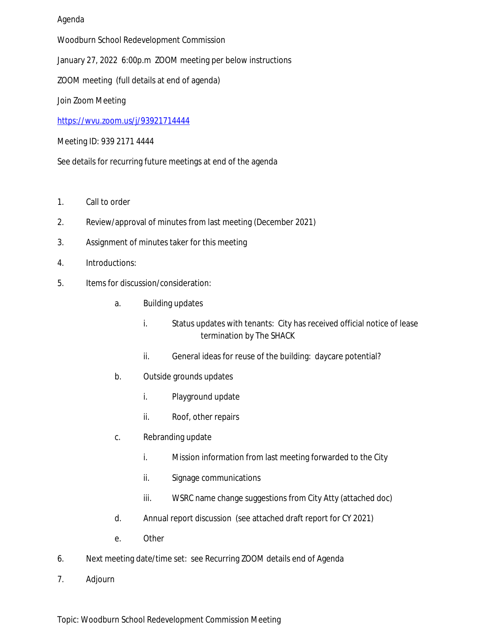## Agenda

Woodburn School Redevelopment Commission

January 27, 2022 6:00p.m ZOOM meeting per below instructions

ZOOM meeting (full details at end of agenda)

Join Zoom Meeting

<https://wvu.zoom.us/j/93921714444>

Meeting ID: 939 2171 4444

See details for recurring future meetings at end of the agenda

- 1. Call to order
- 2. Review/approval of minutes from last meeting (December 2021)
- 3. Assignment of minutes taker for this meeting
- 4. Introductions:
- 5. Items for discussion/consideration:
	- a. Building updates
		- i. Status updates with tenants: City has received official notice of lease termination by The SHACK
		- ii. General ideas for reuse of the building: daycare potential?
	- b. Outside grounds updates
		- i. Playground update
		- ii. Roof, other repairs
	- c. Rebranding update
		- i. Mission information from last meeting forwarded to the City
		- ii. Signage communications
		- iii. WSRC name change suggestions from City Atty (attached doc)
	- d. Annual report discussion (see attached draft report for CY 2021)
	- e. Other
- 6. Next meeting date/time set: see Recurring ZOOM details end of Agenda
- 7. Adjourn

Topic: Woodburn School Redevelopment Commission Meeting